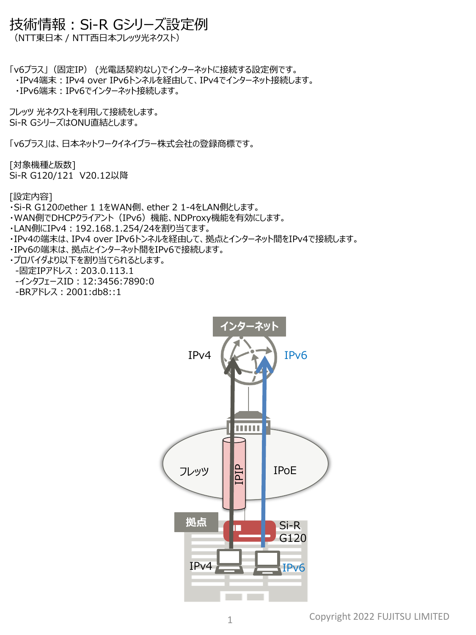## 技術情報:Si-R Gシリーズ設定例

(NTT東日本 / NTT西日本フレッツ光ネクスト)

「v6プラス」(固定IP) (光電話契約なし)でインターネットに接続する設定例です。

- ・IPv4端末:IPv4 over IPv6トンネルを経由して、IPv4でインターネット接続します。
- ・IPv6端末:IPv6でインターネット接続します。

フレッツ 光ネクストを利用して接続をします。 Si-R GシリーズはONU直結とします。

「v6プラス」は、日本ネットワークイネイブラー株式会社の登録商標です。

[対象機種と版数] Si-R G120/121 V20.12以降

[設定内容]

- ・Si-R G120のether 1 1をWAN側、ether 2 1-4をLAN側とします。
- ・WAN側でDHCPクライアント(IPv6)機能、NDProxy機能を有効にします。
- ・LAN側にIPv4:192.168.1.254/24を割り当てます。
- ・IPv4の端末は、IPv4 over IPv6トンネルを経由して、拠点とインターネット間をIPv4で接続します。
- ・IPv6の端末は、拠点とインターネット間をIPv6で接続します。
- ・プロバイダより以下を割り当てられるとします。
- -固定IPアドレス:203.0.113.1
- -インタフェースID: 12:3456:7890:0
- -BRアドレス:2001:db8::1

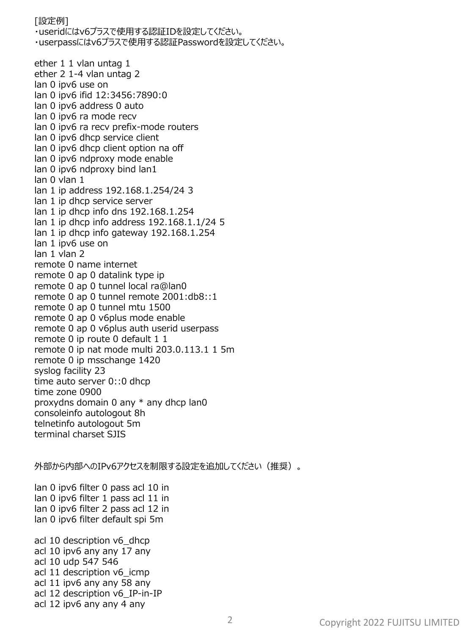[設定例]

・useridにはv6プラスで使用する認証IDを設定してください。 ・userpassにはv6プラスで使用する認証Passwordを設定してください。

ether 1 1 vlan untag 1 ether 2 1-4 vlan untag 2 lan 0 ipv6 use on lan 0 ipv6 ifid 12:3456:7890:0 lan 0 ipv6 address 0 auto lan 0 ipv6 ra mode recv lan 0 ipv6 ra recv prefix-mode routers lan 0 ipv6 dhcp service client lan 0 ipv6 dhcp client option na off lan 0 ipv6 ndproxy mode enable lan 0 ipv6 ndproxy bind lan1 lan 0 vlan 1 lan 1 ip address 192.168.1.254/24 3 lan 1 ip dhcp service server lan 1 ip dhcp info dns 192.168.1.254 lan 1 ip dhcp info address 192.168.1.1/24 5 lan 1 ip dhcp info gateway 192.168.1.254 lan 1 ipv6 use on lan 1 vlan 2 remote 0 name internet remote 0 ap 0 datalink type ip remote 0 ap 0 tunnel local ra@lan0 remote 0 ap 0 tunnel remote 2001:db8::1 remote 0 ap 0 tunnel mtu 1500 remote 0 ap 0 v6plus mode enable remote 0 ap 0 v6plus auth userid userpass remote 0 ip route 0 default 1 1 remote 0 ip nat mode multi 203.0.113.1 1 5m remote 0 ip msschange 1420 syslog facility 23 time auto server 0::0 dhcp time zone 0900 proxydns domain 0 any \* any dhcp lan0 consoleinfo autologout 8h telnetinfo autologout 5m terminal charset SJIS

外部から内部へのIPv6アクセスを制限する設定を追加してください(推奨)。

lan 0 ipv6 filter 0 pass acl 10 in lan 0 ipv6 filter 1 pass acl 11 in lan 0 ipv6 filter 2 pass acl 12 in lan 0 ipv6 filter default spi 5m

acl 10 description v6\_dhcp acl 10 ipv6 any any 17 any acl 10 udp 547 546 acl 11 description v6 icmp acl 11 ipv6 any any 58 any acl 12 description v6 IP-in-IP acl 12 ipv6 any any 4 any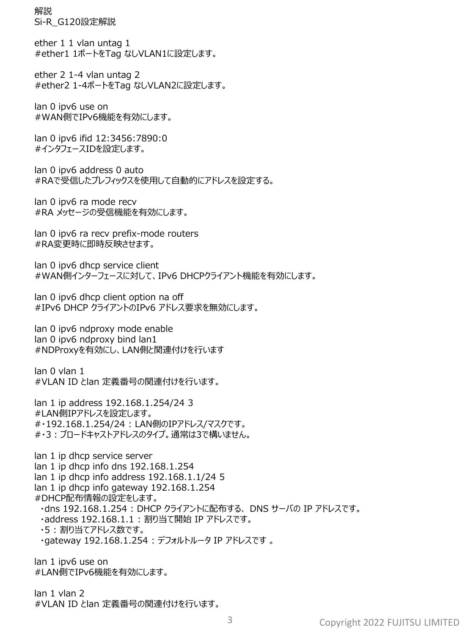解説 Si-R\_G120設定解説

ether 1 1 vlan untag 1 #ether1 1ポートをTag なしVLAN1に設定します。

ether 2 1-4 vlan untag 2 #ether2 1-4ポートをTag なしVLAN2に設定します。

lan 0 ipv6 use on #WAN側でIPv6機能を有効にします。

lan 0 ipv6 ifid 12:3456:7890:0 #インタフェースIDを設定します。

lan 0 ipv6 address 0 auto #RAで受信したプレフィックスを使用して自動的にアドレスを設定する。

lan 0 ipv6 ra mode recv #RA メッセージの受信機能を有効にします。

lan 0 ipv6 ra recv prefix-mode routers #RA変更時に即時反映させます。

lan 0 ipv6 dhcp service client #WAN側インターフェースに対して、IPv6 DHCPクライアント機能を有効にします。

lan 0 ipv6 dhcp client option na off #IPv6 DHCP クライアントのIPv6 アドレス要求を無効にします。

lan 0 ipv6 ndproxy mode enable lan 0 ipv6 ndproxy bind lan1 #NDProxyを有効にし、LAN側と関連付けを行います

lan 0 vlan 1 #VLAN ID とlan 定義番号の関連付けを行います。

lan 1 ip address 192.168.1.254/24 3 #LAN側IPアドレスを設定します。 #・192.168.1.254/24 : LAN側のIPアドレス/マスクです。 #・3:ブロードキャストアドレスのタイプ。通常は3で構いません。

lan 1 ip dhcp service server lan 1 ip dhcp info dns 192.168.1.254 lan 1 ip dhcp info address 192.168.1.1/24 5 lan 1 ip dhcp info gateway 192.168.1.254 #DHCP配布情報の設定をします。 ・dns 192.168.1.254 : DHCP クライアントに配布する、 DNS サーバの IP アドレスです。 ・address 192.168.1.1 : 割り当て開始 IP アドレスです。 ・5 : 割り当てアドレス数です。 ・gateway 192.168.1.254 : デフォルトルータ IP アドレスです 。

lan 1 ipv6 use on #LAN側でIPv6機能を有効にします。

lan 1 vlan 2 #VLAN ID とlan 定義番号の関連付けを行います。